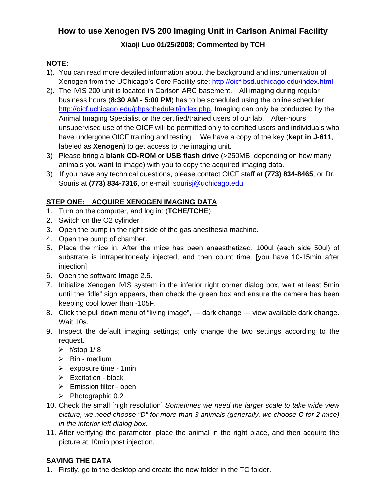# **How to use Xenogen IVS 200 Imaging Unit in Carlson Animal Facility**

### **Xiaoji Luo 01/25/2008; Commented by TCH**

#### **NOTE:**

- 1). You can read more detailed information about the background and instrumentation of Xenogen from the UChicago's Core Facility site: http://oicf.bsd.uchicago.edu/index.html
- 2). The IVIS 200 unit is located in Carlson ARC basement. All imaging during regular business hours (**8:30 AM - 5:00 PM**) has to be scheduled using the online scheduler: http://oicf.uchicago.edu/phpscheduleit/index.php. Imaging can only be conducted by the Animal Imaging Specialist or the certified/trained users of our lab. After-hours unsupervised use of the OICF will be permitted only to certified users and individuals who have undergone OICF training and testing. We have a copy of the key (**kept in J-611**, labeled as **Xenogen**) to get access to the imaging unit.
- 3) Please bring a **blank CD-ROM** or **USB flash drive** (>250MB, depending on how many animals you want to image) with you to copy the acquired imaging data.
- 3) If you have any technical questions, please contact OICF staff at **(773) 834-8465**, or Dr. Souris at (773) 834-7316, or e-mail: **sourisj@uchicago.edu**

#### **STEP ONE: ACQUIRE XENOGEN IMAGING DATA**

- 1. Turn on the computer, and log in: (**TCHE/TCHE**)
- 2. Switch on the O2 cylinder
- 3. Open the pump in the right side of the gas anesthesia machine.
- 4. Open the pump of chamber.
- 5. Place the mice in. After the mice has been anaesthetized, 100ul (each side 50ul) of substrate is intraperitonealy injected, and then count time. [you have 10-15min after injection]
- 6. Open the software Image 2.5.
- 7. Initialize Xenogen IVIS system in the inferior right corner dialog box, wait at least 5min until the "idle" sign appears, then check the green box and ensure the camera has been keeping cool lower than -105F.
- 8. Click the pull down menu of "living image", --- dark change --- view available dark change. Wait 10s.
- 9. Inspect the default imaging settings; only change the two settings according to the request.
	- $\triangleright$  f/stop 1/8
	- $\triangleright$  Bin medium
	- $\triangleright$  exposure time 1 min
	- $\triangleright$  Excitation block
	- $\triangleright$  Emission filter open
	- $\triangleright$  Photographic 0.2
- 10. Check the small [high resolution] *Sometimes we need the larger scale to take wide view picture, we need choose "D" for more than 3 animals (generally, we choose C for 2 mice) in the inferior left dialog box.*
- 11. After verifying the parameter, place the animal in the right place, and then acquire the picture at 10min post injection.

### **SAVING THE DATA**

1. Firstly, go to the desktop and create the new folder in the TC folder.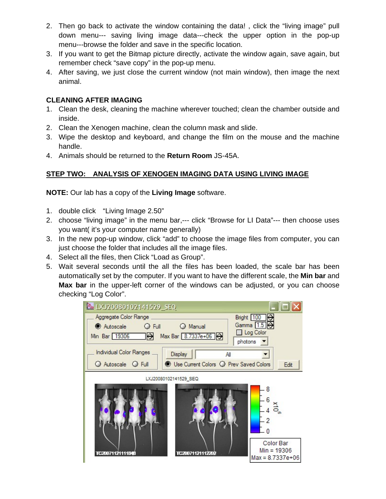- 2. Then go back to activate the window containing the data! , click the "living image" pull down menu--- saving living image data---check the upper option in the pop-up menu---browse the folder and save in the specific location.
- 3. If you want to get the Bitmap picture directly, activate the window again, save again, but remember check "save copy" in the pop-up menu.
- 4. After saving, we just close the current window (not main window), then image the next animal.

#### **CLEANING AFTER IMAGING**

- 1. Clean the desk, cleaning the machine wherever touched; clean the chamber outside and inside.
- 2. Clean the Xenogen machine, clean the column mask and slide.
- 3. Wipe the desktop and keyboard, and change the film on the mouse and the machine handle.
- 4. Animals should be returned to the **Return Room** JS-45A.

### **STEP TWO: ANALYSIS OF XENOGEN IMAGING DATA USING LIVING IMAGE**

**NOTE:** Our lab has a copy of the **Living Image** software.

- 1. double click "Living Image 2.50"
- 2. choose "living image" in the menu bar,--- click "Browse for LI Data"--- then choose uses you want( it's your computer name generally)
- 3. In the new pop-up window, click "add" to choose the image files from computer, you can just choose the folder that includes all the image files.
- 4. Select all the files, then Click "Load as Group".
- 5. Wait several seconds until the all the files has been loaded, the scale bar has been automatically set by the computer. If you want to have the different scale, the **Min bar** and **Max bar** in the upper-left corner of the windows can be adjusted, or you can choose checking "Log Color".

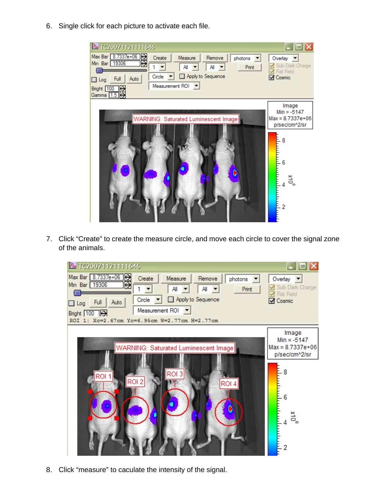6. Single click for each picture to activate each file.



7. Click "Create" to create the measure circle, and move each circle to cover the signal zone of the animals.



8. Click "measure" to caculate the intensity of the signal.